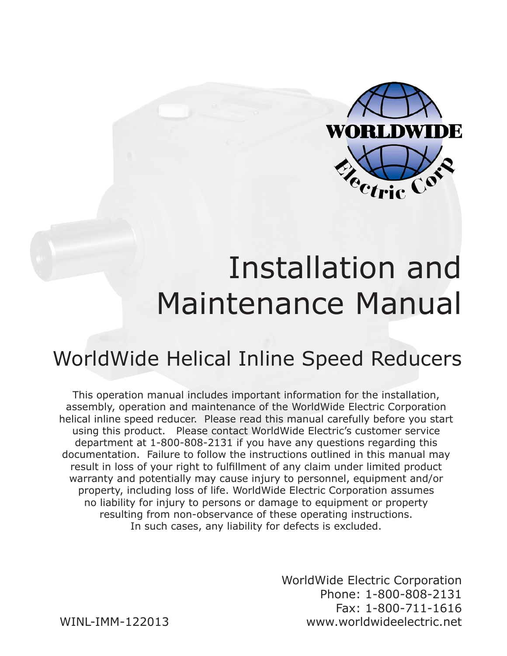

# Installation and Maintenance Manual

### WorldWide Helical Inline Speed Reducers

This operation manual includes important information for the installation, assembly, operation and maintenance of the WorldWide Electric Corporation helical inline speed reducer. Please read this manual carefully before you start using this product. Please contact WorldWide Electric's customer service department at 1-800-808-2131 if you have any questions regarding this documentation. Failure to follow the instructions outlined in this manual may result in loss of your right to fulfillment of any claim under limited product warranty and potentially may cause injury to personnel, equipment and/or property, including loss of life. WorldWide Electric Corporation assumes no liability for injury to persons or damage to equipment or property resulting from non-observance of these operating instructions. In such cases, any liability for defects is excluded.

> WorldWide Electric Corporation Phone: 1-800-808-2131 Fax: 1-800-711-1616 www.worldwideelectric.net

WINL-IMM-122013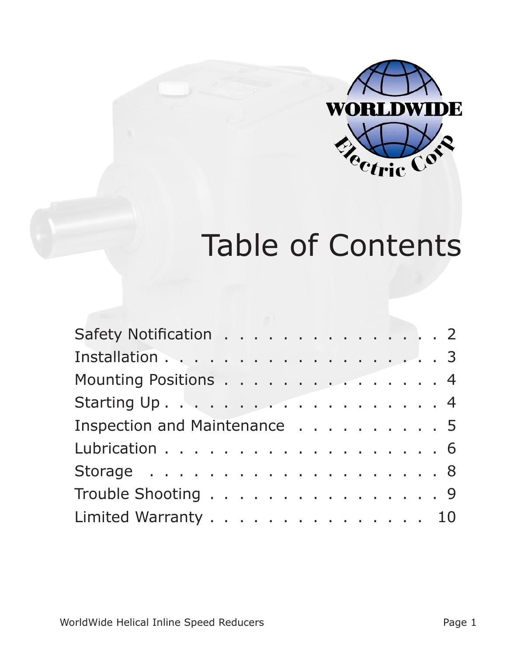

# Table of Contents

| Safety Notification 2        |  |  |  |  |  |  |  |  |  |
|------------------------------|--|--|--|--|--|--|--|--|--|
|                              |  |  |  |  |  |  |  |  |  |
| Mounting Positions 4         |  |  |  |  |  |  |  |  |  |
|                              |  |  |  |  |  |  |  |  |  |
| Inspection and Maintenance 5 |  |  |  |  |  |  |  |  |  |
| Lubrication 6                |  |  |  |  |  |  |  |  |  |
|                              |  |  |  |  |  |  |  |  |  |
| Trouble Shooting 9           |  |  |  |  |  |  |  |  |  |
| Limited Warranty 10          |  |  |  |  |  |  |  |  |  |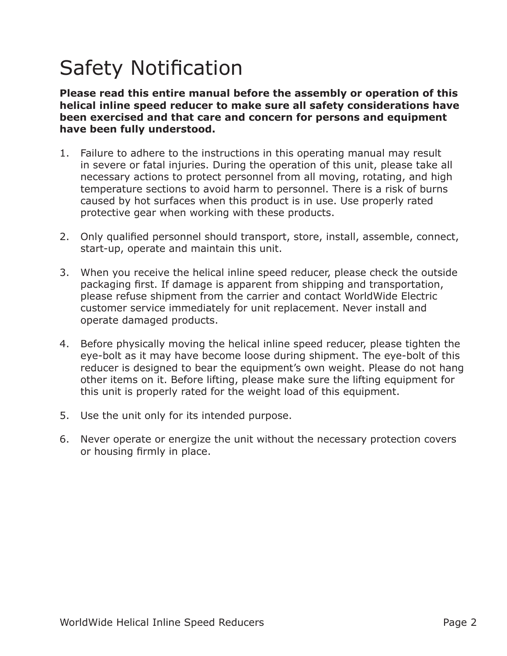# Safety Notification

**Please read this entire manual before the assembly or operation of this helical inline speed reducer to make sure all safety considerations have been exercised and that care and concern for persons and equipment have been fully understood.**

- 1. Failure to adhere to the instructions in this operating manual may result in severe or fatal injuries. During the operation of this unit, please take all necessary actions to protect personnel from all moving, rotating, and high temperature sections to avoid harm to personnel. There is a risk of burns caused by hot surfaces when this product is in use. Use properly rated protective gear when working with these products.
- 2. Only qualified personnel should transport, store, install, assemble, connect, start-up, operate and maintain this unit.
- 3. When you receive the helical inline speed reducer, please check the outside packaging first. If damage is apparent from shipping and transportation, please refuse shipment from the carrier and contact WorldWide Electric customer service immediately for unit replacement. Never install and operate damaged products.
- 4. Before physically moving the helical inline speed reducer, please tighten the eye-bolt as it may have become loose during shipment. The eye-bolt of this reducer is designed to bear the equipment's own weight. Please do not hang other items on it. Before lifting, please make sure the lifting equipment for this unit is properly rated for the weight load of this equipment.
- 5. Use the unit only for its intended purpose.
- 6. Never operate or energize the unit without the necessary protection covers or housing firmly in place.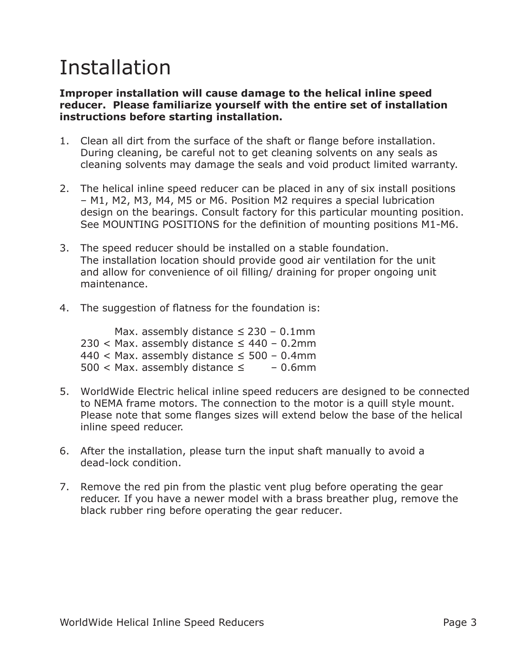### Installation

#### **Improper installation will cause damage to the helical inline speed reducer. Please familiarize yourself with the entire set of installation instructions before starting installation.**

- 1. Clean all dirt from the surface of the shaft or flange before installation. During cleaning, be careful not to get cleaning solvents on any seals as cleaning solvents may damage the seals and void product limited warranty.
- 2. The helical inline speed reducer can be placed in any of six install positions – M1, M2, M3, M4, M5 or M6. Position M2 requires a special lubrication design on the bearings. Consult factory for this particular mounting position. See MOUNTING POSITIONS for the definition of mounting positions M1-M6.
- 3. The speed reducer should be installed on a stable foundation. The installation location should provide good air ventilation for the unit and allow for convenience of oil filling/ draining for proper ongoing unit maintenance.
- 4. The suggestion of flatness for the foundation is:

|  | Max. assembly distance $\leq$ 230 - 0.1mm          |  |  |           |
|--|----------------------------------------------------|--|--|-----------|
|  | $230 <$ Max. assembly distance $\leq 440 - 0.2$ mm |  |  |           |
|  | 440 < Max. assembly distance $\leq$ 500 - 0.4mm    |  |  |           |
|  | 500 < Max. assembly distance $\leq$                |  |  | $-0.6$ mm |

- 5. WorldWide Electric helical inline speed reducers are designed to be connected to NEMA frame motors. The connection to the motor is a quill style mount. Please note that some flanges sizes will extend below the base of the helical inline speed reducer.
- 6. After the installation, please turn the input shaft manually to avoid a dead-lock condition.
- 7. Remove the red pin from the plastic vent plug before operating the gear reducer. If you have a newer model with a brass breather plug, remove the black rubber ring before operating the gear reducer.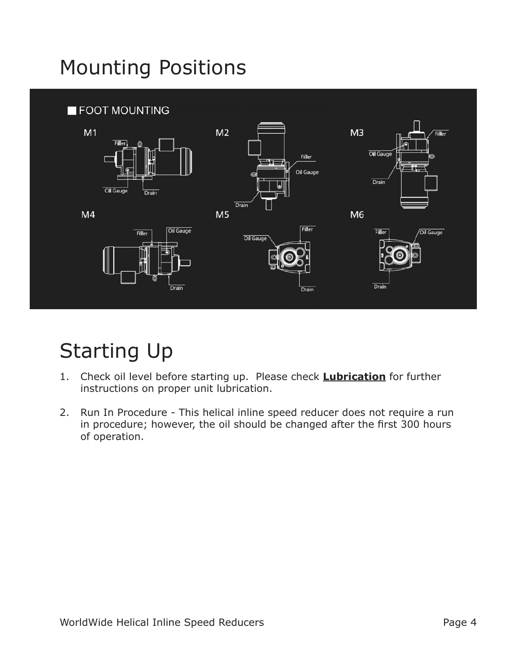# Mounting Positions



# Starting Up

- 1. Check oil level before starting up. Please check **Lubrication** for further instructions on proper unit lubrication.
- 2. Run In Procedure This helical inline speed reducer does not require a run in procedure; however, the oil should be changed after the first 300 hours of operation.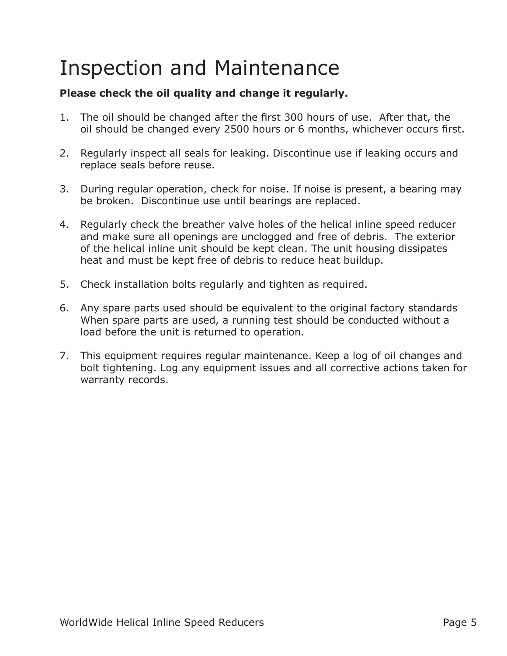### Inspection and Maintenance

#### **Please check the oil quality and change it regularly.**

- 1. The oil should be changed after the first 300 hours of use. After that, the oil should be changed every 2500 hours or 6 months, whichever occurs first.
- 2. Regularly inspect all seals for leaking. Discontinue use if leaking occurs and replace seals before reuse.
- 3. During regular operation, check for noise. If noise is present, a bearing may be broken. Discontinue use until bearings are replaced.
- 4. Regularly check the breather valve holes of the helical inline speed reducer and make sure all openings are unclogged and free of debris. The exterior of the helical inline unit should be kept clean. The unit housing dissipates heat and must be kept free of debris to reduce heat buildup.
- 5. Check installation bolts regularly and tighten as required.
- 6. Any spare parts used should be equivalent to the original factory standards When spare parts are used, a running test should be conducted without a load before the unit is returned to operation.
- 7. This equipment requires regular maintenance. Keep a log of oil changes and bolt tightening. Log any equipment issues and all corrective actions taken for warranty records.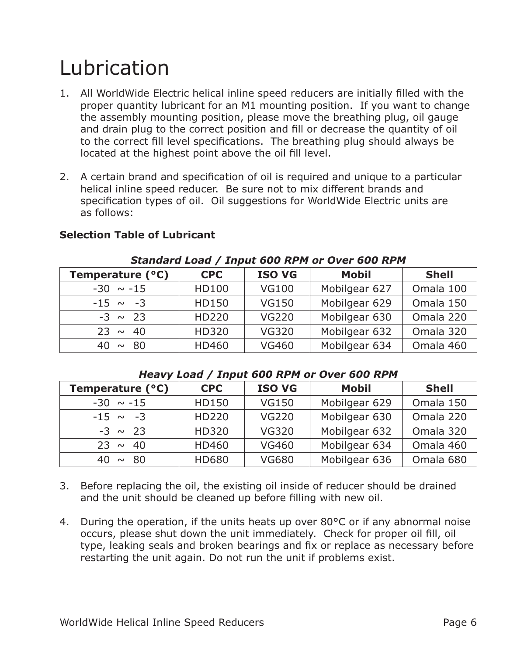### Lubrication

- 1. All WorldWide Electric helical inline speed reducers are initially filled with the proper quantity lubricant for an M1 mounting position. If you want to change the assembly mounting position, please move the breathing plug, oil gauge and drain plug to the correct position and fill or decrease the quantity of oil to the correct fill level specifications. The breathing plug should always be located at the highest point above the oil fill level.
- 2. A certain brand and specification of oil is required and unique to a particular helical inline speed reducer. Be sure not to mix different brands and specification types of oil. Oil suggestions for WorldWide Electric units are as follows:

| Temperature (°C) | <b>CPC</b>   | <b>ISO VG</b> | <b>Mobil</b>  | <b>Shell</b> |  |  |  |  |  |
|------------------|--------------|---------------|---------------|--------------|--|--|--|--|--|
| $-30 \sim -15$   | <b>HD100</b> | <b>VG100</b>  | Mobilgear 627 | Omala 100    |  |  |  |  |  |
| $-15 \sim -3$    | HD150        | <b>VG150</b>  | Mobilgear 629 | Omala 150    |  |  |  |  |  |
| $-3 \sim 23$     | <b>HD220</b> | <b>VG220</b>  | Mobilgear 630 | Omala 220    |  |  |  |  |  |
| $23 \sim 40$     | <b>HD320</b> | <b>VG320</b>  | Mobilgear 632 | Omala 320    |  |  |  |  |  |
| 40 $\sim$<br>80  | <b>HD460</b> | <b>VG460</b>  | Mobilgear 634 | Omala 460    |  |  |  |  |  |

#### **Selection Table of Lubricant**

#### *Standard Load / Input 600 RPM or Over 600 RPM*

#### *Heavy Load / Input 600 RPM or Over 600 RPM*

| Temperature (°C) | <b>CPC</b>   | <b>ISO VG</b> | <b>Mobil</b>  | <b>Shell</b> |
|------------------|--------------|---------------|---------------|--------------|
| $-30 \sim -15$   | HD150        | <b>VG150</b>  | Mobilgear 629 | Omala 150    |
| $-15 \sim -3$    | <b>HD220</b> | <b>VG220</b>  | Mobilgear 630 | Omala 220    |
| $-3 \sim 23$     | <b>HD320</b> | <b>VG320</b>  | Mobilgear 632 | Omala 320    |
| $23 \sim 40$     | <b>HD460</b> | <b>VG460</b>  | Mobilgear 634 | Omala 460    |
| $40 \sim 80$     | <b>HD680</b> | <b>VG680</b>  | Mobilgear 636 | Omala 680    |

- 3. Before replacing the oil, the existing oil inside of reducer should be drained and the unit should be cleaned up before filling with new oil.
- 4. During the operation, if the units heats up over 80°C or if any abnormal noise occurs, please shut down the unit immediately. Check for proper oil fill, oil type, leaking seals and broken bearings and fix or replace as necessary before restarting the unit again. Do not run the unit if problems exist.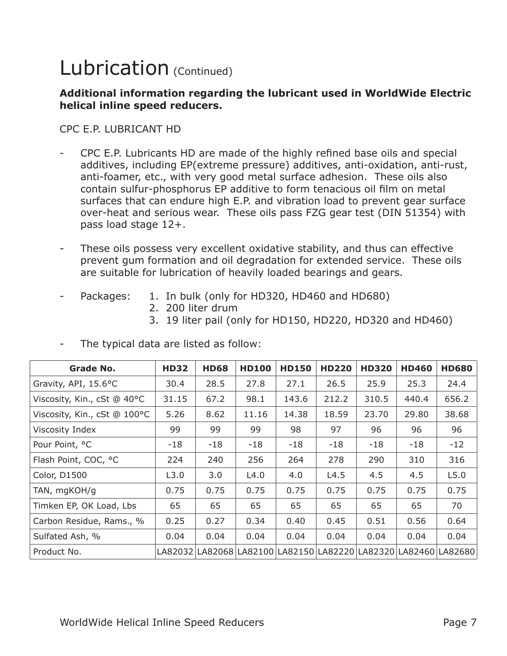### Lubrication (Continued)

#### **Additional information regarding the lubricant used in WorldWide Electric helical inline speed reducers.**

#### CPC E.P. LUBRICANT HD

- CPC E.P. Lubricants HD are made of the highly refined base oils and special additives, including EP(extreme pressure) additives, anti-oxidation, anti-rust, anti-foamer, etc., with very good metal surface adhesion. These oils also contain sulfur-phosphorus EP additive to form tenacious oil film on metal surfaces that can endure high E.P. and vibration load to prevent gear surface over-heat and serious wear. These oils pass FZG gear test (DIN 51354) with pass load stage 12+.
- These oils possess very excellent oxidative stability, and thus can effective prevent gum formation and oil degradation for extended service. These oils are suitable for lubrication of heavily loaded bearings and gears.
- 
- Packages: 1. In bulk (only for HD320, HD460 and HD680)
	- 2. 200 liter drum
	- 3. 19 liter pail (only for HD150, HD220, HD320 and HD460)

| <b>Grade No.</b>             | <b>HD32</b> | <b>HD68</b> | <b>HD100</b> | <b>HD150</b>                                                    | <b>HD220</b> | <b>HD320</b> | <b>HD460</b> | <b>HD680</b> |
|------------------------------|-------------|-------------|--------------|-----------------------------------------------------------------|--------------|--------------|--------------|--------------|
| Gravity, API, 15.6°C         | 30.4        | 28.5        | 27.8         | 27.1                                                            | 26.5         | 25.9         | 25.3         | 24.4         |
| Viscosity, Kin., cSt @ 40°C  | 31.15       | 67.2        | 98.1         | 143.6                                                           | 212.2        | 310.5        | 440.4        | 656.2        |
| Viscosity, Kin., cSt @ 100°C | 5.26        | 8.62        | 11.16        | 14.38                                                           | 18.59        | 23.70        | 29.80        | 38.68        |
| Viscosity Index              | 99          | 99          | 99           | 98                                                              | 97           | 96           | 96           | 96           |
| Pour Point, °C               | $-18$       | $-18$       | $-18$        | $-18$                                                           | $-18$        | $-18$        | -18          | $-12$        |
| Flash Point, COC, °C         | 224         | 240         | 256          | 264                                                             | 278          | 290          | 310          | 316          |
| <b>Color, D1500</b>          | L3.0        | 3.0         | L4.0         | 4.0                                                             | L4.5         | 4.5          | 4.5          | L5.0         |
| TAN, mgKOH/g                 | 0.75        | 0.75        | 0.75         | 0.75                                                            | 0.75         | 0.75         | 0.75         | 0.75         |
| Timken EP, OK Load, Lbs      | 65          | 65          | 65           | 65                                                              | 65           | 65           | 65           | 70           |
| Carbon Residue, Rams., %     | 0.25        | 0.27        | 0.34         | 0.40                                                            | 0.45         | 0.51         | 0.56         | 0.64         |
| Sulfated Ash, %              | 0.04        | 0.04        | 0.04         | 0.04                                                            | 0.04         | 0.04         | 0.04         | 0.04         |
| Product No.                  |             |             |              | LA82032 LA82068 LA82100 LA82150 LA82220 LA82320 LA82460 LA82680 |              |              |              |              |

The typical data are listed as follow: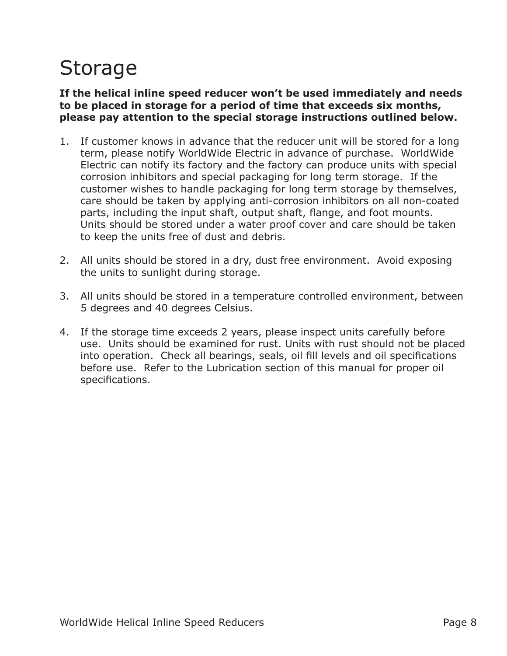# Storage

#### **If the helical inline speed reducer won't be used immediately and needs to be placed in storage for a period of time that exceeds six months, please pay attention to the special storage instructions outlined below.**

- 1. If customer knows in advance that the reducer unit will be stored for a long term, please notify WorldWide Electric in advance of purchase. WorldWide Electric can notify its factory and the factory can produce units with special corrosion inhibitors and special packaging for long term storage. If the customer wishes to handle packaging for long term storage by themselves, care should be taken by applying anti-corrosion inhibitors on all non-coated parts, including the input shaft, output shaft, flange, and foot mounts. Units should be stored under a water proof cover and care should be taken to keep the units free of dust and debris.
- 2. All units should be stored in a dry, dust free environment. Avoid exposing the units to sunlight during storage.
- 3. All units should be stored in a temperature controlled environment, between 5 degrees and 40 degrees Celsius.
- 4. If the storage time exceeds 2 years, please inspect units carefully before use. Units should be examined for rust. Units with rust should not be placed into operation. Check all bearings, seals, oil fill levels and oil specifications before use. Refer to the Lubrication section of this manual for proper oil specifications.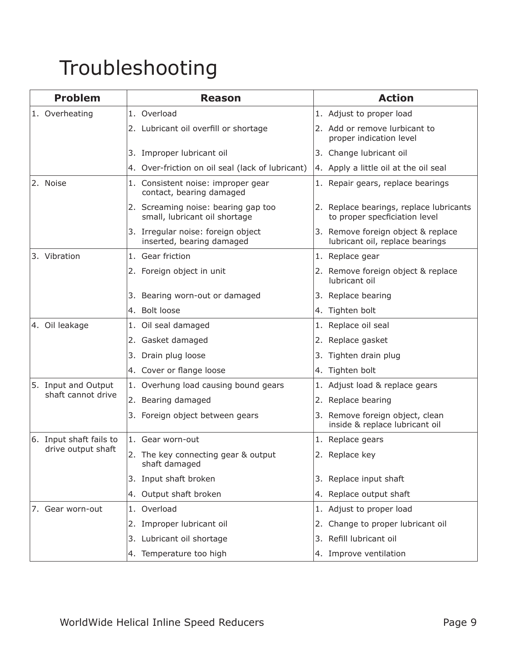# Troubleshooting

| <b>Problem</b>                            | <b>Reason</b>                                                        | <b>Action</b>                                                            |
|-------------------------------------------|----------------------------------------------------------------------|--------------------------------------------------------------------------|
| 1. Overheating                            | 1. Overload                                                          | 1. Adjust to proper load                                                 |
|                                           | 2. Lubricant oil overfill or shortage                                | 2. Add or remove lurbicant to<br>proper indication level                 |
|                                           | 3. Improper lubricant oil                                            | 3. Change lubricant oil                                                  |
|                                           | 4. Over-friction on oil seal (lack of lubricant)                     | 4. Apply a little oil at the oil seal                                    |
| 2. Noise                                  | 1. Consistent noise: improper gear<br>contact, bearing damaged       | 1. Repair gears, replace bearings                                        |
|                                           | 2. Screaming noise: bearing gap too<br>small, lubricant oil shortage | 2. Replace bearings, replace lubricants<br>to proper specficiation level |
|                                           | 3. Irregular noise: foreign object<br>inserted, bearing damaged      | 3. Remove foreign object & replace<br>lubricant oil, replace bearings    |
| 3. Vibration                              | 1. Gear friction                                                     | 1. Replace gear                                                          |
|                                           | 2. Foreign object in unit                                            | 2. Remove foreign object & replace<br>lubricant oil                      |
|                                           | 3. Bearing worn-out or damaged                                       | 3. Replace bearing                                                       |
|                                           | 4. Bolt loose                                                        | 4. Tighten bolt                                                          |
| 4. Oil leakage                            | 1. Oil seal damaged                                                  | 1. Replace oil seal                                                      |
|                                           | 2. Gasket damaged                                                    | 2. Replace gasket                                                        |
|                                           | 3. Drain plug loose                                                  | 3. Tighten drain plug                                                    |
|                                           | 4. Cover or flange loose                                             | 4. Tighten bolt                                                          |
| 5. Input and Output<br>shaft cannot drive | 1. Overhung load causing bound gears                                 | 1. Adjust load & replace gears                                           |
|                                           | 2. Bearing damaged                                                   | 2. Replace bearing                                                       |
|                                           | Foreign object between gears<br>3.                                   | 3. Remove foreign object, clean<br>inside & replace lubricant oil        |
| 6. Input shaft fails to                   | 1. Gear worn-out                                                     | 1. Replace gears                                                         |
| drive output shaft                        | 2. The key connecting gear & output<br>shaft damaged                 | 2. Replace key                                                           |
|                                           | 3. Input shaft broken                                                | 3. Replace input shaft                                                   |
|                                           | 4. Output shaft broken                                               | 4. Replace output shaft                                                  |
| 7. Gear worn-out                          | 1. Overload                                                          | 1. Adjust to proper load                                                 |
|                                           | 2. Improper lubricant oil                                            | Change to proper lubricant oil<br>2.                                     |
|                                           | 3. Lubricant oil shortage                                            | Refill lubricant oil<br>3.                                               |
|                                           | 4. Temperature too high                                              | 4. Improve ventilation                                                   |